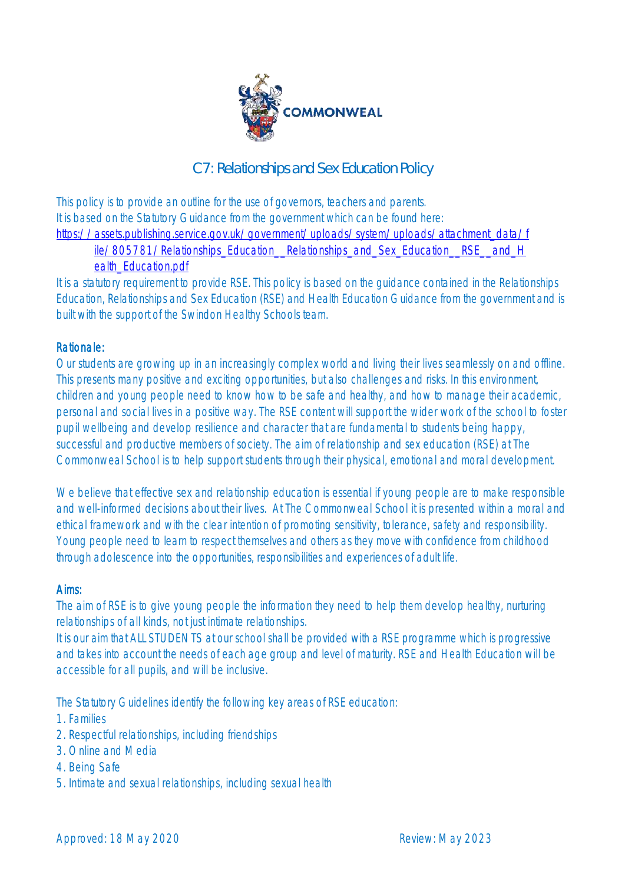

# C7: Relationships and Sex Education Policy

This policy is to provide an outline for the use of governors, teachers and parents. It is based on the Statutory Guidance from the government which can be found here: [https://assets.publishing.service.gov.uk/government/uploads/system/uploads/attachment\\_data/f](https://assets.publishing.service.gov.uk/government/uploads/system/uploads/attachment_data/file/805781/Relationships_Education__Relationships_and_Sex_Education__RSE__and_Health_Education.pdf) [ile/805781/Relationships\\_Education\\_\\_Relationships\\_and\\_Sex\\_Education\\_\\_RSE\\_\\_and\\_H](https://assets.publishing.service.gov.uk/government/uploads/system/uploads/attachment_data/file/805781/Relationships_Education__Relationships_and_Sex_Education__RSE__and_Health_Education.pdf)\_

#### [ealth\\_Education.pdf](https://assets.publishing.service.gov.uk/government/uploads/system/uploads/attachment_data/file/805781/Relationships_Education__Relationships_and_Sex_Education__RSE__and_Health_Education.pdf)

It is a statutory requirement to provide RSE. This policy is based on the guidance contained in the Relationships Education, Relationships and Sex Education (RSE) and Health Education Guidance from the government and is built with the support of the Swindon Healthy Schools team.

## Rationale:

Our students are growing up in an increasingly complex world and living their lives seamlessly on and offline. This presents many positive and exciting opportunities, but also challenges and risks. In this environment, children and young people need to know how to be safe and healthy, and how to manage their academic, personal and social lives in a positive way. The RSE content will support the wider work of the school to foster pupil wellbeing and develop resilience and character that are fundamental to students being happy, successful and productive members of society. The aim of relationship and sex education (RSE) at The Commonweal School is to help support students through their physical, emotional and moral development.

We believe that effective sex and relationship education is essential if young people are to make responsible and well-informed decisions about their lives. At The Commonweal School it is presented within a moral and ethical framework and with the clear intention of promoting sensitivity, tolerance, safety and responsibility. Young people need to learn to respect themselves and others as they move with confidence from childhood through adolescence into the opportunities, responsibilities and experiences of adult life.

## Aims:

The aim of RSE is to give young people the information they need to help them develop healthy, nurturing relationships of all kinds, not just intimate relationships.

It is our aim that ALL STUDENTS at our school shall be provided with a RSE programme which is progressive and takes into account the needs of each age group and level of maturity. RSE and Health Education will be accessible for all pupils, and will be inclusive.

The Statutory Guidelines identify the following key areas of RSE education:

- 1. Families
- 2. Respectful relationships, including friendships
- 3. Online and Media
- 4. Being Safe
- 5. Intimate and sexual relationships, including sexual health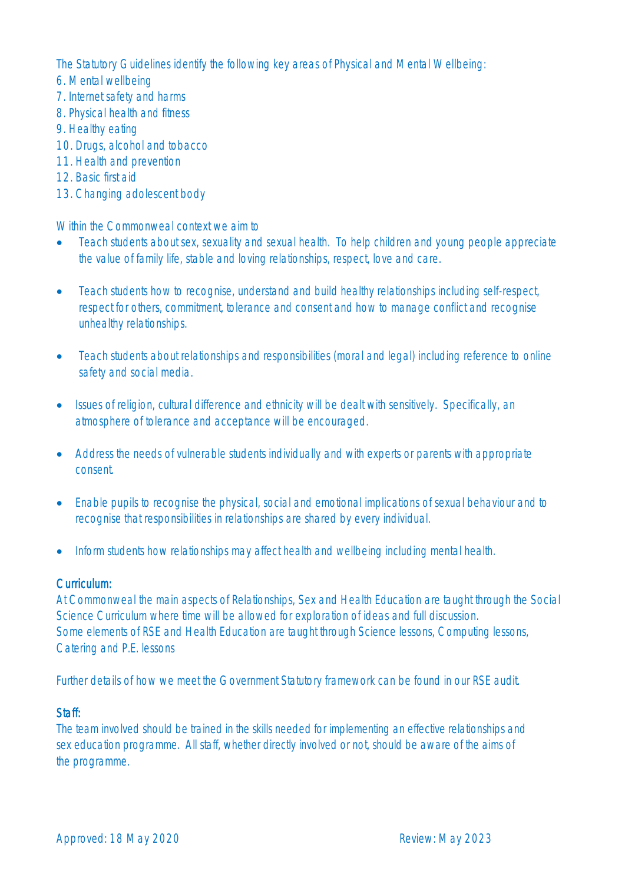The Statutory Guidelines identify the following key areas of Physical and Mental Wellbeing:

- 6. Mental wellbeing
- 7. Internet safety and harms
- 8. Physical health and fitness
- 9. Healthy eating
- 10. Drugs, alcohol and tobacco
- 11. Health and prevention
- 12. Basic first aid
- 13. Changing adolescent body

Within the Commonweal context we aim to

- Teach students about sex, sexuality and sexual health. To help children and young people appreciate the value of family life, stable and loving relationships, respect, love and care.
- Teach students how to recognise, understand and build healthy relationships including self-respect, respect for others, commitment, tolerance and consent and how to manage conflict and recognise unhealthy relationships.
- Teach students about relationships and responsibilities (moral and legal) including reference to online safety and social media.
- Issues of religion, cultural difference and ethnicity will be dealt with sensitively. Specifically, an atmosphere of tolerance and acceptance will be encouraged.
- Address the needs of vulnerable students individually and with experts or parents with appropriate consent.
- Enable pupils to recognise the physical, social and emotional implications of sexual behaviour and to recognise that responsibilities in relationships are shared by every individual.
- Inform students how relationships may affect health and wellbeing including mental health.

## Curriculum:

At Commonweal the main aspects of Relationships, Sex and Health Education are taught through the Social Science Curriculum where time will be allowed for exploration of ideas and full discussion. Some elements of RSE and Health Education are taught through Science lessons, Computing lessons, Catering and P.E. lessons

Further details of how we meet the Government Statutory framework can be found in our RSE audit.

## Staff:

The team involved should be trained in the skills needed for implementing an effective relationships and sex education programme. All staff, whether directly involved or not, should be aware of the aims of the programme.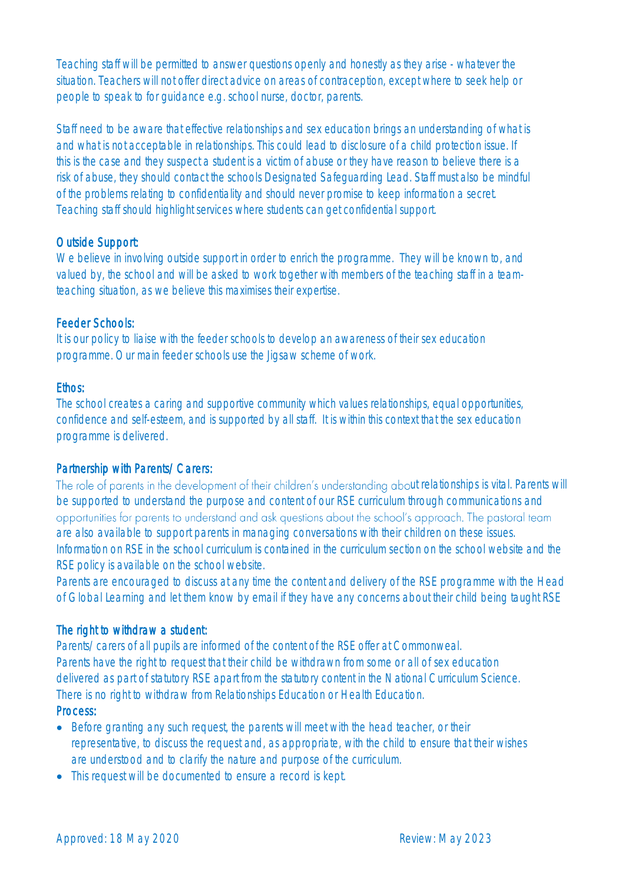Teaching staff will be permitted to answer questions openly and honestly as they arise - whatever the situation. Teachers will not offer direct advice on areas of contraception, except where to seek help or people to speak to for guidance e.g. school nurse, doctor, parents.

Staff need to be aware that effective relationships and sex education brings an understanding of what is and what is not acceptable in relationships. This could lead to disclosure of a child protection issue. If this is the case and they suspect a student is a victim of abuse or they have reason to believe there is a risk of abuse, they should contact the schools Designated Safeguarding Lead. Staff must also be mindful of the problems relating to confidentiality and should never promise to keep information a secret. Teaching staff should highlight services where students can get confidential support.

## Outside Support:

We believe in involving outside support in order to enrich the programme. They will be known to, and valued by, the school and will be asked to work together with members of the teaching staff in a teamteaching situation, as we believe this maximises their expertise.

## Feeder Schools:

It is our policy to liaise with the feeder schools to develop an awareness of their sex education programme. Our main feeder schools use the Jigsaw scheme of work.

## Ethos:

The school creates a caring and supportive community which values relationships, equal opportunities, confidence and self-esteem, and is supported by all staff. It is within this context that the sex education programme is delivered.

## Partnership with Parents/Carers:

The role of parents in the development of their children's understanding about relationships is vital. Parents will be supported to understand the purpose and content of our RSE curriculum through communications and opportunities for parents to understand and ask questions about the school's approach. The pastoral team are also available to support parents in managing conversations with their children on these issues. Information on RSE in the school curriculum is contained in the curriculum section on the school website and the RSE policy is available on the school website.

Parents are encouraged to discuss at any time the content and delivery of the RSE programme with the Head of Global Learning and let them know by email if they have any concerns about their child being taught RSE

## The right to withdraw a student:

Parents/carers of all pupils are informed of the content of the RSE offer at Commonweal. Parents have the right to request that their child be withdrawn from some or all of sex education delivered as part of statutory RSE apart from the statutory content in the National Curriculum Science. There is no right to withdraw from Relationships Education or Health Education.

## Process:

- Before granting any such request, the parents will meet with the head teacher, or their representative, to discuss the request and, as appropriate, with the child to ensure that their wishes are understood and to clarify the nature and purpose of the curriculum.
- This request will be documented to ensure a record is kept.